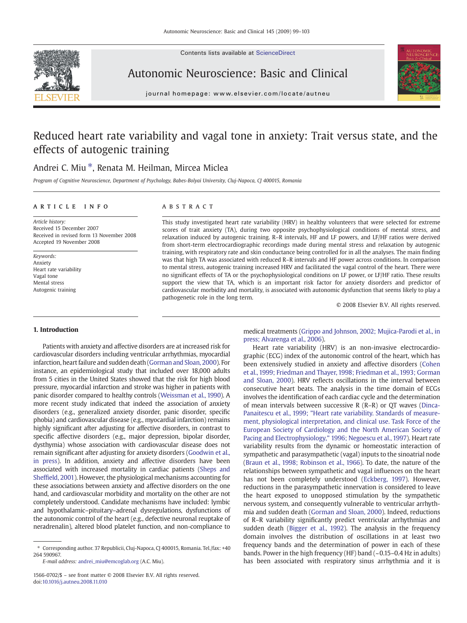Contents lists available at ScienceDirect





Autonomic Neuroscience: Basic and Clinical

 $j$  o u r n a l  $j$  of  $\alpha$  is even  $\alpha$  that is evidence of  $\alpha$ 

# Reduced heart rate variability and vagal tone in anxiety: Trait versus state, and the effects of autogenic training

## Andrei C. Miu  $*$ , Renata M. Heilman, Mircea Miclea

Program of Cognitive Neuroscience, Department of Psychology, Babes-Bolyai University, Cluj-Napoca, CJ 400015, Romania

### article info abstract

Article history: Received 15 December 2007 Received in revised form 13 November 2008 Accepted 19 November 2008

Keywords: Anxiety Heart rate variability Vagal tone Mental stress Autogenic training

#### 1. Introduction

### Patients with anxiety and affective disorders are at increased risk for cardiovascular disorders including ventricular arrhythmias, myocardial infarction, heart failure and sudden death [\(Gorman and Sloan, 2000](#page-3-0)). For instance, an epidemiological study that included over 18,000 adults from 5 cities in the United States showed that the risk for high blood pressure, myocardial infarction and stroke was higher in patients with panic disorder compared to healthy controls ([Weissman et al., 1990\)](#page-4-0). A more recent study indicated that indeed the association of anxiety disorders (e.g., generalized anxiety disorder, panic disorder, specific phobia) and cardiovascular disease (e.g., myocardial infarction) remains highly significant after adjusting for affective disorders, in contrast to specific affective disorders (e.g., major depression, bipolar disorder, dysthymia) whose association with cardiovascular disease does not remain significant after adjusting for anxiety disorders [\(Goodwin et al.,](#page-3-0) [in press](#page-3-0)). In addition, anxiety and affective disorders have been associated with increased mortality in cardiac patients [\(Sheps and](#page-4-0) Sheffi[eld, 2001\)](#page-4-0). However, the physiological mechanisms accounting for these associations between anxiety and affective disorders on the one hand, and cardiovascular morbidity and mortality on the other are not completely understood. Candidate mechanisms have included: lymbic and hypothalamic–pituitary–adrenal dysregulations, dysfunctions of the autonomic control of the heart (e.g., defective neuronal reuptake of neradrenalin), altered blood platelet function, and non-compliance to

E-mail address: [andrei\\_miu@emcoglab.org](mailto:andrei_miu@emcoglab.org) (A.C. Miu).

This study investigated heart rate variability (HRV) in healthy volunteers that were selected for extreme scores of trait anxiety (TA), during two opposite psychophysiological conditions of mental stress, and relaxation induced by autogenic training. R–R intervals, HF and LF powers, and LF/HF ratios were derived from short-term electrocardiographic recordings made during mental stress and relaxation by autogenic training, with respiratory rate and skin conductance being controlled for in all the analyses. The main finding was that high TA was associated with reduced R–R intervals and HF power across conditions. In comparison to mental stress, autogenic training increased HRV and facilitated the vagal control of the heart. There were no significant effects of TA or the psychophysiological conditions on LF power, or LF/HF ratio. These results support the view that TA, which is an important risk factor for anxiety disorders and predictor of cardiovascular morbidity and mortality, is associated with autonomic dysfunction that seems likely to play a pathogenetic role in the long term.

© 2008 Elsevier B.V. All rights reserved.

medical treatments [\(Grippo and Johnson, 2002; Mujica-Parodi et al., in](#page-3-0) [press; Alvarenga et al., 2006](#page-3-0)).

Heart rate variability (HRV) is an non-invasive electrocardiographic (ECG) index of the autonomic control of the heart, which has been extensively studied in anxiety and affective disorders ([Cohen](#page-3-0) [et al., 1999; Friedman and Thayer, 1998; Friedman et al., 1993; Gorman](#page-3-0) [and Sloan, 2000](#page-3-0)). HRV reflects oscillations in the interval between consecutive heart beats. The analysis in the time domain of ECGs involves the identification of each cardiac cycle and the determination of mean intervals between successive R (R–R) or QT waves ([Dinca-](#page-3-0)[Panaitescu et al., 1999; "Heart rate variability. Standards of measure](#page-3-0)[ment, physiological interpretation, and clinical use. Task Force of the](#page-3-0) [European Society of Cardiology and the North American Society of](#page-3-0) [Pacing and Electrophysiology," 1996; Negoescu et al., 1997\)](#page-3-0). Heart rate variability results from the dynamic or homeostatic interaction of sympathetic and parasympathetic (vagal) inputs to the sinoatrial node [\(Braun et al., 1998; Robinson et al., 1966](#page-3-0)). To date, the nature of the relationships between sympathetic and vagal influences on the heart has not been completely understood ([Eckberg, 1997](#page-3-0)). However, reductions in the parasympathetic innervation is considered to leave the heart exposed to unopposed stimulation by the sympathetic nervous system, and consequently vulnerable to ventricular arrhythmia and sudden death ([Gorman and Sloan, 2000](#page-3-0)). Indeed, reductions of R–R variability significantly predict ventricular arrhythmias and sudden death [\(Bigger et al., 1992\)](#page-3-0). The analysis in the frequency domain involves the distribution of oscillations in at least two frequency bands and the determination of power in each of these bands. Power in the high frequency (HF) band (~0.15–0.4 Hz in adults) has been associated with respiratory sinus arrhythmia and it is

<sup>⁎</sup> Corresponding author. 37 Republicii, Cluj-Napoca, CJ 400015, Romania. Tel./fax: +40 264 590967.

<sup>1566-0702/\$</sup> – see front matter © 2008 Elsevier B.V. All rights reserved. doi:[10.1016/j.autneu.2008.11.010](http://dx.doi.org/10.1016/j.autneu.2008.11.010)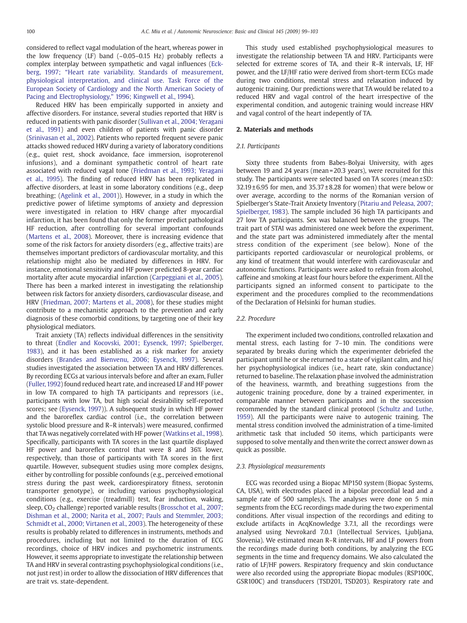considered to reflect vagal modulation of the heart, whereas power in the low frequency (LF) band  $(-0.05-0.15$  Hz) probably reflects a complex interplay between sympathetic and vagal influences [\(Eck](#page-3-0)berg, 1997; "[Heart rate variability. Standards of measurement,](#page-3-0) [physiological interpretation, and clinical use. Task Force of the](#page-3-0) [European Society of Cardiology and the North American Society of](#page-3-0) [Pacing and Electrophysiology,](#page-3-0)" 1996; Kingwell et al., 1994).

Reduced HRV has been empirically supported in anxiety and affective disorders. For instance, several studies reported that HRV is reduced in patients with panic disorder [\(Sullivan et al., 2004; Yeragani](#page-4-0) [et al., 1991\)](#page-4-0) and even children of patients with panic disorder ([Srinivasan et al., 2002](#page-4-0)). Patients who reported frequent severe panic attacks showed reduced HRV during a variety of laboratory conditions (e.g., quiet rest, shock avoidance, face immersion, isoproterenol infusions), and a dominant sympathetic control of heart rate associated with reduced vagal tone [\(Friedman et al., 1993; Yeragani](#page-3-0) [et al., 1995\)](#page-3-0). The finding of reduced HRV has been replicated in affective disorders, at least in some laboratory conditions (e.g., deep breathing; [\(Agelink et al., 2001](#page-3-0))). However, in a study in which the predictive power of lifetime symptoms of anxiety and depression were investigated in relation to HRV change after myocardial infarction, it has been found that only the former predict pathological HF reduction, after controlling for several important confounds ([Martens et al., 2008\)](#page-4-0). Moreover, there is increasing evidence that some of the risk factors for anxiety disorders (e.g., affective traits) are themselves important predictors of cardiovascular mortality, and this relationship might also be mediated by differences in HRV. For instance, emotional sensitivity and HF power predicted 8-year cardiac mortality after acute myocardial infarction [\(Carpeggiani et al., 2005](#page-3-0)). There has been a marked interest in investigating the relationship between risk factors for anxiety disorders, cardiovascular disease, and HRV [\(Friedman, 2007; Martens et al., 2008\)](#page-3-0), for these studies might contribute to a mechanistic approach to the prevention and early diagnosis of these comorbid conditions, by targeting one of their key physiological mediators.

Trait anxiety (TA) reflects individual differences in the sensitivity to threat [\(Endler and Kocovski, 2001; Eysenck, 1997; Spielberger,](#page-3-0) [1983](#page-3-0)), and it has been established as a risk marker for anxiety disorders ([Brandes and Bienvenu, 2006; Eysenck, 1997\)](#page-3-0). Several studies investigated the association between TA and HRV differences. By recording ECGs at various intervals before and after an exam, Fuller ([Fuller, 1992](#page-3-0)) found reduced heart rate, and increased LF and HF power in low TA compared to high TA participants and repressors (i.e., participants with low TA, but high social desirability self-reported scores; see ([Eysenck, 1997\)](#page-3-0)). A subsequent study in which HF power and the baroreflex cardiac control (i.e., the correlation between systolic blood pressure and R–R intervals) were measured, confirmed that TA was negatively correlated with HF power [\(Watkins et al., 1998](#page-4-0)). Specifically, participants with TA scores in the last quartile displayed HF power and baroreflex control that were 8 and 36% lower, respectively, than those of participants with TA scores in the first quartile. However, subsequent studies using more complex designs, either by controlling for possible confounds (e.g., perceived emotional stress during the past week, cardiorespiratory fitness, serotonin transporter genotype), or including various psychophysiological conditions (e.g., exercise (treadmill) test, fear induction, waking, sleep, CO<sub>2</sub> challenge) reported variable results [\(Brosschot et al., 2007;](#page-3-0) [Dishman et al., 2000; Narita et al., 2007; Pauls and Stemmler, 2003;](#page-3-0) [Schmidt et al., 2000; Virtanen et al., 2003](#page-3-0)). The heterogeneity of these results is probably related to differences in instruments, methods and procedures, including but not limited to the duration of ECG recordings, choice of HRV indices and psychometric instruments. However, it seems appropriate to investigate the relationship between TA and HRV in several contrasting psychophysiological conditions (i.e., not just rest) in order to allow the dissociation of HRV differences that are trait vs. state-dependent.

This study used established psychophysiological measures to investigate the relationship between TA and HRV. Participants were selected for extreme scores of TA, and their R–R intervals, LF, HF power, and the LF/HF ratio were derived from short-term ECGs made during two conditions, mental stress and relaxation induced by autogenic training. Our predictions were that TA would be related to a reduced HRV and vagal control of the heart irrespective of the experimental condition, and autogenic training would increase HRV and vagal control of the heart indepently of TA.

#### 2. Materials and methods

#### 2.1. Participants

Sixty three students from Babes-Bolyai University, with ages between 19 and 24 years (mean = 20.3 years), were recruited for this study. The participants were selected based on TA scores (mean ± SD:  $32.19 \pm 6.95$  for men, and  $35.37 \pm 8.28$  for women) that were below or over average, according to the norms of the Romanian version of Spielberger's State-Trait Anxiety Inventory ([Pitariu and Peleasa, 2007;](#page-4-0) [Spielberger, 1983](#page-4-0)). The sample included 36 high TA participants and 27 low TA participants. Sex was balanced between the groups. The trait part of STAI was administered one week before the experiment, and the state part was administered immediately after the mental stress condition of the experiment (see below). None of the participants reported cardiovascular or neurological problems, or any kind of treatment that would interfere with cardiovascular and autonomic functions. Participants were asked to refrain from alcohol, caffeine and smoking at least four hours before the experiment. All the participants signed an informed consent to participate to the experiment and the procedures complied to the recommendations of the Declaration of Helsinki for human studies.

#### 2.2. Procedure

The experiment included two conditions, controlled relaxation and mental stress, each lasting for 7–10 min. The conditions were separated by breaks during which the experimenter debriefed the participant until he or she returned to a state of vigilant calm, and his/ her psychophysiological indices (i.e., heart rate, skin conductance) returned to baseline. The relaxation phase involved the administration of the heaviness, warmth, and breathing suggestions from the autogenic training procedure, done by a trained experimenter, in comparable manner between participants and in the succession recommended by the standard clinical protocol [\(Schultz and Luthe,](#page-4-0) [1959](#page-4-0)). All the participants were naive to autogenic training. The mental stress condition involved the administration of a time-limited arithmetic task that included 50 items, which participants were supposed to solve mentally and then write the correct answer down as quick as possible.

#### 2.3. Physiological measurements

ECG was recorded using a Biopac MP150 system (Biopac Systems, CA, USA), with electrodes placed in a bipolar precordial lead and a sample rate of 500 samples/s. The analyses were done on 5 min segments from the ECG recordings made during the two experimental conditions. After visual inspection of the recordings and editing to exclude artifacts in AcqKnowledge 3.7.1, all the recordings were analysed using Nevrokard 7.0.1 (Intellectual Services, Ljubljana, Slovenia). We estimated mean R–R intervals, HF and LF powers from the recordings made during both conditions, by analyzing the ECG segments in the time and frequency domains. We also calculated the ratio of LF/HF powers. Respiratory frequency and skin conductance were also recorded using the appropriate Biopac modules (RSP100C, GSR100C) and transducers (TSD201, TSD203). Respiratory rate and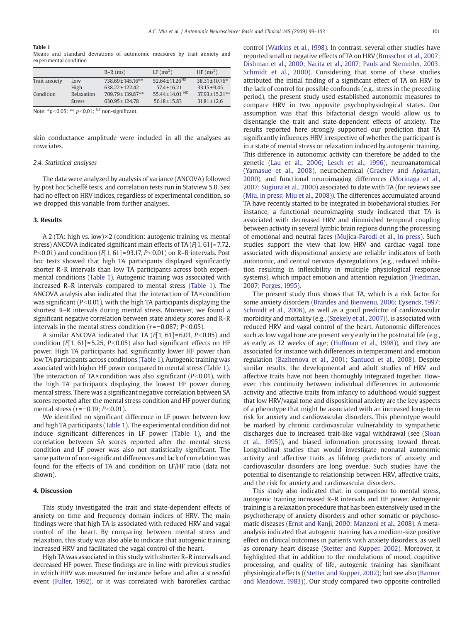#### Table 1

Means and standard deviations of autonomic measures by trait anxiety and experimental condition

|               |               | $R-R$ (ms)            | $LF$ (ms <sup>2</sup> )     | $HF(ms^2)$          |
|---------------|---------------|-----------------------|-----------------------------|---------------------|
| Trait anxiety | Low           | $738.69 \pm 145.16**$ | 52.64 ± 11.26 <sup>NS</sup> | $38.31 \pm 10.76*$  |
|               | High          | $638.22 \pm 122.42$   | $57.4 \pm 16.21$            | $33.15 + 9.45$      |
| Condition     | Relaxation    | 709.79 ± 139.87**     | 55.44 ± 14.01 NS            | $37.93 \pm 15.21**$ |
|               | <b>Stress</b> | $630.95 \pm 124.78$   | $56.18 \pm 15.83$           | $31.81 \pm 12.6$    |

Note: \* $p$ <0.05; \*\*  $p$ <0.01; <sup>NS</sup> non-significant.

skin conductance amplitude were included in all the analyses as covariates.

#### 2.4. Statistical analyses

The data were analyzed by analysis of variance (ANCOVA) followed by post hoc Scheffé tests, and correlation tests run in Statview 5.0. Sex had no effect on HRV indices, regardless of experimental condition, so we dropped this variable from further analyses.

#### 3. Results

A 2 (TA: high vs. low) $\times$ 2 (condition: autogenic training vs. mental stress) ANCOVA indicated significant main effects of TA (F[1, 61] = 7.72,  $P<0.01$ ) and condition (F[1, 61] = 93.17, P $<$ 0.01) on R–R intervals. Post hoc tests showed that high TA participants displayed significantly shorter R–R intervals than low TA participants across both experimental conditions (Table 1). Autogenic training was associated with increased R–R intervals compared to mental stress (Table 1). The ANCOVA analysis also indicated that the interaction of TA × condition was significant ( $P<0.01$ ), with the high TA participants displaying the shortest R–R intervals during mental stress. Moreover, we found a significant negative correlation between state anxiety scores and R–R intervals in the mental stress condition ( $r = −0.087$ ;  $P < 0.05$ ).

A similar ANCOVA indicated that TA  $(F[1, 61] = 6.01, P < 0.05)$  and condition ( $F[1, 61] = 5.25$ ,  $P<0.05$ ) also had significant effects on HF power. High TA participants had significantly lower HF power than low TA participants across conditions (Table 1). Autogenic training was associated with higher HF power compared to mental stress (Table 1). The interaction of TA $\times$  condition was also significant ( $P<0.01$ ), with the high TA participants displaying the lowest HF power during mental stress. There was a significant negative correlation between SA scores reported after the mental stress condition and HF power during mental stress ( $r = -0.19$ ;  $P < 0.01$ ).

We identified no significant difference in LF power between low and high TA participants (Table 1). The experimental condition did not induce significant differences in LF power (Table 1), and the correlation between SA scores reported after the mental stress condition and LF power was also not statistically significant. The same pattern of non-significant differences and lack of correlation was found for the effects of TA and condition on LF/HF ratio (data not shown).

#### 4. Discussion

This study investigated the trait and state-dependent effects of anxiety on time and frequency domain indices of HRV. The main findings were that high TA is associated with reduced HRV and vagal control of the heart. By comparing between mental stress and relaxation, this study was also able to indicate that autogenic training increased HRV and facilitated the vagal control of the heart.

High TA was associated in this study with shorter R–R intervals and decreased HF power. These findings are in line with previous studies in which HRV was measured for instance before and after a stressful event [\(Fuller, 1992\)](#page-3-0), or it was correlated with baroreflex cardiac control ([Watkins et al., 1998](#page-4-0)). In contrast, several other studies have reported small or negative effects of TA on HRV [\(Brosschot et al., 2007;](#page-3-0) [Dishman et al., 2000; Narita et al., 2007; Pauls and Stemmler, 2003;](#page-3-0) [Schmidt et al., 2000](#page-3-0)). Considering that some of these studies attributed the initial finding of a significant effect of TA on HRV to the lack of control for possible confounds (e.g., stress in the preceding period), the present study used established autonomic measures to compare HRV in two opposite psychophysiological states. Our assumption was that this bifactorial design would allow us to disentangle the trait and state-dependent effects of anxiety. The results reported here strongly supported our prediction that TA significantly influences HRV irrespective of whether the participant is in a state of mental stress or relaxation induced by autogenic training. This difference in autonomic activity can therefore be added to the genetic [\(Lau et al., 2006; Lesch et al., 1996](#page-3-0)), neuroanatomical ([Yamasue et al., 2008](#page-4-0)), neurochemical ([Grachev and Apkarian,](#page-3-0) [2000](#page-3-0)), and functional neuroimaging differences ([Morinaga et al.,](#page-4-0) [2007; Sugiura et al., 2000\)](#page-4-0) associated to date with TA (for reviews see [\(Miu, in press; Miu et al., 2008](#page-4-0))). The differences accumulated around TA have recently started to be integrated in biobehavioral studies. For instance, a functional neuroimaging study indicated that TA is associated with decreased HRV and diminished temporal coupling between activity in several lymbic brain regions during the processing of emotional and neutral faces [\(Mujica-Parodi et al., in press](#page-4-0)). Such studies support the view that low HRV and cardiac vagal tone associated with dispositional anxiety are reliable indicators of both autonomic, and central nervous dysregulations (e.g., reduced inhibition resulting in inflexibility in multiple physiological response systems), which impact emotion and attention regulation [\(Friedman,](#page-3-0) [2007; Porges, 1995](#page-3-0)).

The present study thus shows that TA, which is a risk factor for some anxiety disorders [\(Brandes and Bienvenu, 2006; Eysenck, 1997;](#page-3-0) [Schmidt et al., 2006\)](#page-3-0), as well as a good predictor of cardiovascular morbidity and mortality (e.g., ([Szekely et al., 2007\)](#page-4-0)), is associated with reduced HRV and vagal control of the heart. Autonomic differences such as low vagal tone are present very early in the postnatal life (e.g., as early as 12 weeks of age; [\(Huffman et al., 1998](#page-3-0))), and they are associated for instance with differences in temperament and emotion regulation ([Bazhenova et al., 2001; Santucci et al., 2008\)](#page-3-0). Despite similar results, the developmental and adult studies of HRV and affective traits have not been thoroughly integrated together. However, this continuity between individual differences in autonomic activity and affective traits from infancy to adulthood would suggest that low HRV/vagal tone and dispositional anxiety are the key aspects of a phenotype that might be associated with an increased long-term risk for anxiety and cardiovascular disorders. This phenotype would be marked by chronic cardiovascular vulnerability to sympathetic discharges due to increased trait-like vagal withdrawal (see ([Sloan](#page-4-0) [et al., 1995\)](#page-4-0)), and biased information processing toward threat. Longitudinal studies that would investigate neonatal autonomic activity and affective traits as lifelong predictors of anxiety and cardiovascular disorders are long overdue. Such studies have the potential to disentangle to relationship between HRV, affective traits, and the risk for anxiety and cardiovascular disorders.

This study also indicated that, in comparison to mental stress, autogenic training increased R–R intervals and HF power. Autogenic training is a relaxation procedure that has been extensively used in the psychotherapy of anxiety disorders and other somatic or psychosomatic diseases ([Ernst and Kanji, 2000; Manzoni et al., 2008](#page-3-0)). A metaanalysis indicated that autogenic training has a medium-size positive effect on clinical outcomes in patients with anxiety disorders, as well as coronary heart disease [\(Stetter and Kupper, 2002\)](#page-4-0). Moreover, it highlighted that in addition to the modulations of mood, cognitive processing, and quality of life, autogenic training has significant physiological effects ([\(Stetter and Kupper, 2002\)](#page-4-0); but see also ([Banner](#page-3-0) [and Meadows, 1983\)](#page-3-0)). Our study compared two opposite controlled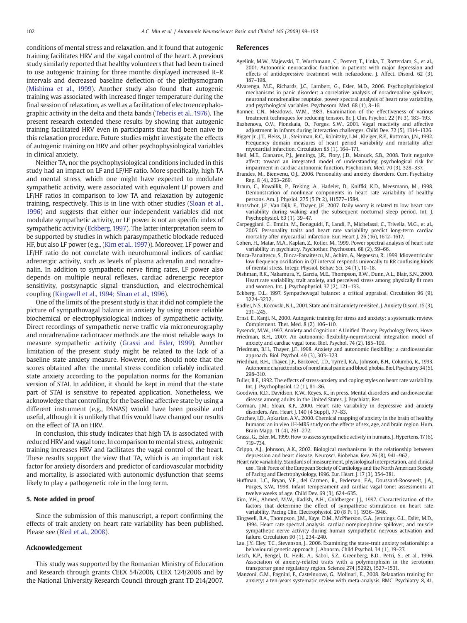<span id="page-3-0"></span>conditions of mental stress and relaxation, and it found that autogenic training facilitates HRV and the vagal control of the heart. A previous study similarly reported that healthy volunteers that had been trained to use autogenic training for three months displayed increased R–R intervals and decreased baseline deflection of the plethysmogram ([Mishima et al., 1999\)](#page-4-0). Another study also found that autogenic training was associated with increased finger temperature during the final session of relaxation, as well as a facilitation of electroencephalographic activity in the delta and theta bands [\(Tebecis et al., 1976\)](#page-4-0). The present research extended these results by showing that autogenic training facilitated HRV even in participants that had been naive to this relaxation procedure. Future studies might investigate the effects of autogenic training on HRV and other psychophysiological variables in clinical anxiety.

Neither TA, nor the psychophysiological conditions included in this study had an impact on LF and LF/HF ratio. More specifically, high TA and mental stress, which one might have expected to modulate sympathetic activity, were associated with equivalent LF powers and LF/HF ratios in comparison to low TA and relaxation by autogenic training, respectively. This is in line with other studies [\(Sloan et al.,](#page-4-0) [1996](#page-4-0)) and suggests that either our independent variables did not modulate sympathetic activity, or LF power is not an specific index of sympathetic activity (Eckberg, 1997). The latter interpretation seem to be supported by studies in which parasympathetic blockade reduced HF, but also LF power (e.g., (Kim et al., 1997)). Moreover, LF power and LF/HF ratio do not correlate with neurohumoral indices of cardiac adrenergic activity, such as levels of plasma adrenalin and noradrenalin. In addition to sympathetic nerve firing rates, LF power also depends on multiple neural reflexes, cardiac adrenergic receptor sensitivity, postsynaptic signal transduction, and electrochemical coupling (Kingwell et al., 1994; Sloan et al., 1996).

One of the limits of the present study is that it did not complete the picture of sympathovagal balance in anxiety by using more reliable biochemical or electrophysiological indices of sympathetic activity. Direct recordings of sympathetic nerve traffic via microneurography and noradrenaline radiotracer methods are the most reliable ways to measure sympathetic activity (Grassi and Esler, 1999). Another limitation of the present study might be related to the lack of a baseline state anxiety measure. However, one should note that the scores obtained after the mental stress condition reliably indicated state anxiety according to the population norms for the Romanian version of STAI. In addition, it should be kept in mind that the state part of STAI is sensitive to repeated application. Nonetheless, we acknowledge that controlling for the baseline affective state by using a different instrument (e.g., PANAS) would have been possible and useful, although it is unlikely that this would have changed our results on the effect of TA on HRV.

In conclusion, this study indicates that high TA is associated with reduced HRV and vagal tone. In comparison to mental stress, autogenic training increases HRV and facilitates the vagal control of the heart. These results support the view that TA, which is an important risk factor for anxiety disorders and predictor of cardiovascular morbidity and mortality, is associated with autonomic dysfunction that seems likely to play a pathogenetic role in the long term.

#### 5. Note added in proof

Since the submission of this manuscript, a report confirming the effects of trait anxiety on heart rate variability has been published. Please see (Bleil et al., 2008).

#### Acknowledgement

This study was supported by the Romanian Ministry of Education and Research through grants CEEX 54/2006, CEEX 124/2006 and by the National University Research Council through grant TD 214/2007.

#### References

- Agelink, M.W., Majewski, T., Wurthmann, C., Postert, T., Linka, T., Rotterdam, S., et al., 2001. Autonomic neurocardiac function in patients with major depression and effects of antidepressive treatment with nefazodone. J. Affect. Disord. 62 (3), 187–198.
- Alvarenga, M.E., Richards, J.C., Lambert, G., Esler, M.D., 2006. Psychophysiological mechanisms in panic disorder: a correlative analysis of noradrenaline spillover, neuronal noradrenaline reuptake, power spectral analysis of heart rate variability, and psychological variables. Psychosom. Med. 68 (1), 8–16.
- Banner, C.N., Meadows, W.M., 1983. Examination of the effectiveness of various treatment techniques for reducing tension. Br. J. Clin. Psychol. 22 (Pt 3), 183–193.
- Bazhenova, O.V., Plonskaia, O., Porges, S.W., 2001. Vagal reactivity and affective adjustment in infants during interaction challenges. Child Dev. 72 (5), 1314–1326.
- Bigger Jr., J.T., Fleiss, J.L., Steinman, R.C., Rolnitzky, L.M., Kleiger, R.E., Rottman, J.N., 1992. Frequency domain measures of heart period variability and mortality after myocardial infarction. Circulation 85 (1), 164–171.
- Bleil, M.E., Gianaros, P.J., Jennings, J.R., Flory, J.D., Manuck, S.B., 2008. Trait negative affect: toward an integrated model of understanding psychological risk for impairment in cardiac autonomic function. Psychosom. Med. 70 (3), 328–337.
- Brandes, M., Bienvenu, O.J., 2006. Personality and anxiety disorders. Curr. Psychiatry Rep. 8 (4), 263–269.
- Braun, C., Kowallik, P., Freking, A., Hadeler, D., Kniffki, K.D., Meesmann, M., 1998. Demonstration of nonlinear components in heart rate variability of healthy persons. Am. J. Physiol. 275 (5 Pt 2), H1577–1584.
- Brosschot, J.F., Van Dijk, E., Thayer, J.F., 2007. Daily worry is related to low heart rate variability during waking and the subsequent nocturnal sleep period. Int. J. Psychophysiol. 63 (1), 39–47.
- Carpeggiani, C., Emdin, M., Bonaguidi, F., Landi, P., Michelassi, C., Trivella, M.G., et al., 2005. Personality traits and heart rate variability predict long-term cardiac mortality after myocardial infarction. Eur. Heart J. 26 (16), 1612–1617.
- Cohen, H., Matar, M.A., Kaplan, Z., Kotler, M., 1999. Power spectral analysis of heart rate variability in psychiatry. Psychother. Psychosom. 68 (2), 59–66.
- Dinca-Panaitescu, S., Dinca-Panaitescu, M., Achim, A., Negoescu, R., 1999. Idioventricular low frequency oscillation in QT interval responds univocally to RR confusing kinds of mental stress. Integr. Physiol. Behav. Sci. 34 (1), 10–18.
- Dishman, R.K., Nakamura, Y., Garcia, M.E., Thompson, R.W., Dunn, A.L., Blair, S.N., 2000. Heart rate variability, trait anxiety, and perceived stress among physically fit men and women. Int. J. Psychophysiol. 37 (2), 121–133.
- Eckberg, D.L., 1997. Sympathovagal balance: a critical appraisal. Circulation 96 (9), 3224–3232.
- Endler, N.S., Kocovski, N.L., 2001. State and trait anxiety revisited. J. Anxiety Disord.15 (3), 231–245.
- Ernst, E., Kanji, N., 2000. Autogenic training for stress and anxiety: a systematic review. Complement. Ther. Med. 8 (2), 106–110.
- Eysenck, M.W., 1997. Anxiety and Cognition: A Unified Theory. Psychology Press, Hove. Friedman, B.H., 2007. An autonomic flexibility-neurovisceral integration model of anxiety and cardiac vagal tone. Biol. Psychol. 74 (2), 185–199.
- Friedman, B.H., Thayer, J.F., 1998. Anxiety and autonomic flexibility: a cardiovascular approach. Biol. Psychol. 49 (3), 303–323.
- Friedman, B.H., Thayer, J.F., Borkovec, T.D., Tyrrell, R.A., Johnson, B.H., Columbo, R., 1993. Autonomic characteristics of nonclinical panic and blood phobia. Biol. Psychiatry 34 (5), 298–310.
- Fuller, B.F., 1992. The effects of stress-anxiety and coping styles on heart rate variability. Int. J. Psychophysiol. 12 (1), 81–86.
- Goodwin, R.D., Davidson, K.W., Keyes, K., in press. Mental disorders and cardiovascular disease among adults in the United States. J. Psychiatr. Res.
- Gorman, J.M., Sloan, R.P., 2000. Heart rate variability in depressive and anxiety disorders. Am. Heart J. 140 (4 Suppl), 77-83.
- Grachev, I.D., Apkarian, A.V., 2000. Chemical mapping of anxiety in the brain of healthy humans: an in vivo 1H-MRS study on the effects of sex, age, and brain region. Hum. Brain Mapp. 11 (4), 261–272.
- Grassi, G., Esler, M., 1999. How to assess sympathetic activity in humans. J. Hypertens. 17 (6), 719–734.
- Grippo, A.J., Johnson, A.K., 2002. Biological mechanisms in the relationship between depression and heart disease. Neurosci. Biobehav. Rev. 26 (8), 941–962.
- Heart rate variability. Standards of measurement, physiological interpretation, and clinical use . Task Force of the European Society of Cardiology and the North American Society of Pacing and Electrophysiology, 1996. Eur. Heart. J. 17 (3), 354–381.
- Huffman, L.C., Bryan, Y.E., del Carmen, R., Pedersen, F.A., Doussard-Roosevelt, J.A., Porges, S.W., 1998. Infant temperament and cardiac vagal tone: assessments at twelve weeks of age. Child Dev. 69 (3), 624–635.
- Kim, Y.H., Ahmed, M.W., Kadish, A.H., Goldberger, J.J., 1997. Characterization of the factors that determine the effect of sympathetic stimulation on heart rate variability. Pacing Clin. Electrophysiol. 20 (8 Pt 1), 1936–1946.
- Kingwell, B.A., Thompson, J.M., Kaye, D.M., McPherson, G.A., Jennings, G.L., Esler, M.D., 1994. Heart rate spectral analysis, cardiac norepinephrine spillover, and muscle sympathetic nerve activity during human sympathetic nervous activation and failure. Circulation 90 (1), 234–240.
- Lau, J.Y., Eley, T.C., Stevenson, J., 2006. Examining the state-trait anxiety relationship: a behavioural genetic approach. J. Abnorm. Child Psychol. 34 (1), 19–27.
- Lesch, K.P., Bengel, D., Heils, A., Sabol, S.Z., Greenberg, B.D., Petri, S., et al., 1996. Association of anxiety-related traits with a polymorphism in the serotonin transporter gene regulatory region. Science 274 (5292), 1527–1531.
- Manzoni, G.M., Pagnini, F., Castelnuovo, G., Molinari, E., 2008. Relaxation training for anxiety: a ten-years systematic review with meta-analysis. BMC. Psychiatry. 8, 41.